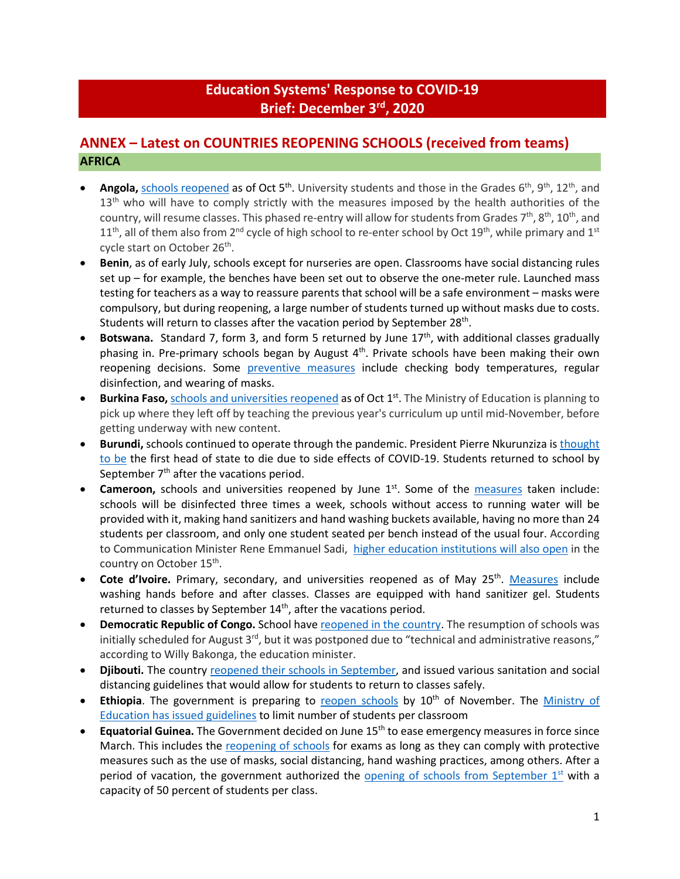# **Education Systems' Response to COVID-19 Brief: December 3rd , 2020**

# **ANNEX – Latest on COUNTRIES REOPENING SCHOOLS (received from teams) AFRICA**

- Angola, [schools reopened](http://www.angop.ao/angola/en_us/noticias/educacao/2020/9/41/Students-back-school-today,544b6c75-b29e-464a-a525-4f546eecc706.html) as of Oct 5<sup>th</sup>. University students and those in the Grades 6<sup>th</sup>, 9<sup>th</sup>, 12<sup>th</sup>, and 13<sup>th</sup> who will have to comply strictly with the measures imposed by the health authorities of the country, will resume classes. This phased re-entry will allow for students from Grades 7<sup>th</sup>, 8<sup>th</sup>, 10<sup>th</sup>, and  $11<sup>th</sup>$ , all of them also from  $2<sup>nd</sup>$  cycle of high school to re-enter school by Oct  $19<sup>th</sup>$ , while primary and  $1<sup>st</sup>$ cycle start on October 26<sup>th</sup>.
- **Benin**, as of early July, schools except for nurseries are open. Classrooms have social distancing rules set up – for example, the benches have been set out to observe the one-meter rule. Launched mass testing for teachers as a way to reassure parents that school will be a safe environment – masks were compulsory, but during reopening, a large number of students turned up without masks due to costs. Students will return to classes after the vacation period by September 28<sup>th</sup>.
- **Botswana.** Standard 7, form 3, and form 5 returned by June 17<sup>th</sup>, with additional classes gradually phasing in. Pre-primary schools began by August  $4<sup>th</sup>$ . Private schools have been making their own reopening decisions. Some [preventive measures](https://www.bbc.com/news/topics/c77jz3mdqypt/botswana) include checking body temperatures, regular disinfection, and wearing of masks.
- **Burkina Faso,** [schools and universities reopened](https://www.africanews.com/2020/10/02/covid-19-schools-and-universities-reopen-in-burkina-faso-after-six-month-closure/) as of Oct 1<sup>st</sup>. The Ministry of Education is planning to pick up where they left off by teaching the previous year's curriculum up until mid-November, before getting underway with new content.
- **Burundi,** schools continued to operate through the pandemic. President Pierre Nkurunziza is [thought](https://www.ft.com/content/a232c62b-ded1-4dd4-8ca7-a5bb5214987f)  [to be](https://www.ft.com/content/a232c62b-ded1-4dd4-8ca7-a5bb5214987f) the first head of state to die due to side effects of COVID-19. Students returned to school by September  $7<sup>th</sup>$  after the vacations period.
- **Cameroon,** schools and universities reopened by June 1<sup>st</sup>. Some of the [measures](https://www.voanews.com/africa/cameroon-opens-schools-amid-covid-19-spike) taken include: schools will be disinfected three times a week, schools without access to running water will be provided with it, making hand sanitizers and hand washing buckets available, having no more than 24 students per classroom, and only one student seated per bench instead of the usual four. According to Communication Minister Rene Emmanuel Sadi, [higher education institutions will also open](https://africa.cgtn.com/2020/10/05/schools-reopen-in-cameroon-after-seven-months-of-closure/) in the country on October 15<sup>th</sup>.
- Cote d'Ivoire. Primary, secondary, and universities reopened as of May 25<sup>th</sup>. [Measures](https://www.reuters.com/article/us-health-coronavirus-ivorycoast-educati/ivory-coast-children-head-back-to-school-after-virus-shutdown-idUSKBN2311FC) include washing hands before and after classes. Classes are equipped with hand sanitizer gel. Students returned to classes by September  $14<sup>th</sup>$ , after the vacations period.
- **Democratic Republic of Congo.** School hav[e reopened in the country.](https://www.aa.com.tr/en/africa/schools-reopen-in-dr-congo-amid-covid-19/1937210) The resumption of schools was initially scheduled for August  $3<sup>rd</sup>$ , but it was postponed due to "technical and administrative reasons," according to Willy Bakonga, the education minister.
- Djibouti. The country [reopened their schools in September,](https://reliefweb.int/sites/reliefweb.int/files/resources/EHAGL%20Regional%20Education%20update%20Jul-Sep%202020_0.pdf) and issued various sanitation and social distancing guidelines that would allow for students to return to classes safely.
- Ethiopia. The government is preparing to [reopen schools](https://allafrica.com/stories/202009300268.html) by 10<sup>th</sup> of November. The Ministry of [Education has issued guidelines](https://allafrica.com/stories/202009100812.html) to limit number of students per classroom
- **Equatorial Guinea.** The Government decided on June 15th to ease emergency measures in force since March. This includes the [reopening of schools](https://www.africanews.com/2020/06/17/legal-alert-understanding-the-dos-and-donts-of-equatorial-guineas-deconfinement-measures/) for exams as long as they can comply with protective measures such as the use of masks, social distancing, hand washing practices, among others. After a period of vacation, the government authorized the opening of schools from September  $1<sup>st</sup>$  with a capacity of 50 percent of students per class.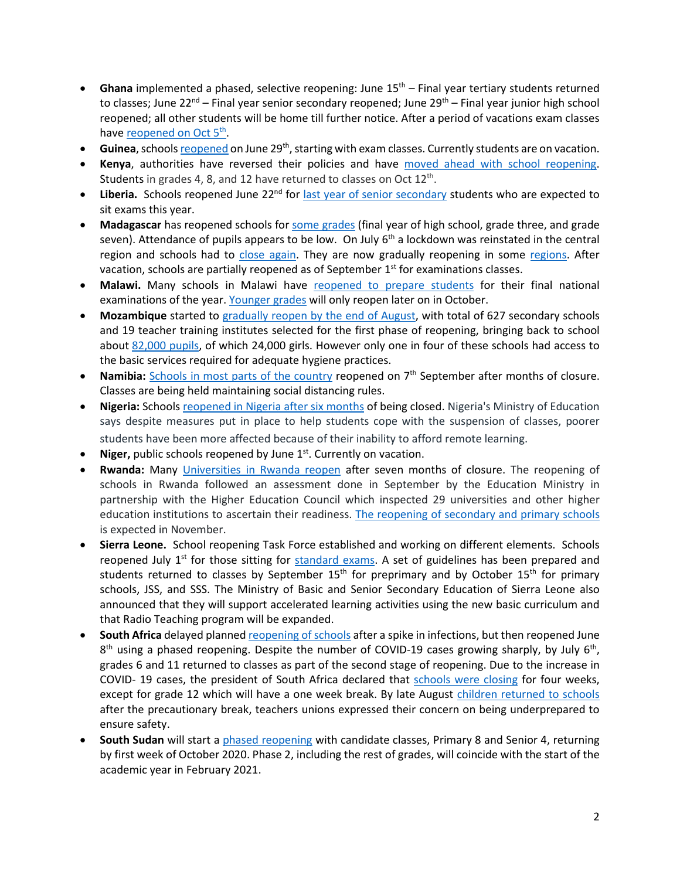- Ghana implemented a phased, selective reopening: June 15<sup>th</sup> Final year tertiary students returned to classes; June 22<sup>nd</sup> – Final year senior secondary reopened; June 29<sup>th</sup> – Final year junior high school reopened; all other students will be home till further notice. After a period of vacations exam classes have reopened on Oct 5<sup>th</sup>.
- **Guinea**, school[s reopened](https://reliefweb.int/report/guinea/guinea-coronavirus-covid-19-situation-report-no-11-24-june-7-july-2020) on June 29<sup>th</sup>, starting with exam classes. Currently students are on vacation.
- Kenya, authorities have reversed their policies and have [moved ahead with school reopening.](https://www.unicef.org/kenya/press-releases/UNICEF-welcomes-schools-reopening-in-Kenya) Students in grades 4, 8, and 12 have returned to classes on Oct  $12<sup>th</sup>$ .
- Liberia. Schools reopened June 22<sup>nd</sup> for [last year of senior secondary](https://allafrica.com/stories/202007170728.html) students who are expected to sit exams this year.
- **Madagascar** has reopened schools for [some grades](https://reliefweb.int/sites/reliefweb.int/files/resources/UNICEF%20Madagascar%20COVID-19%20Situation%20Report%20for%207%20July%202020.pdf) (final year of high school, grade three, and grade seven). Attendance of pupils appears to be low. On July  $6<sup>th</sup>$  a lockdown was reinstated in the central region and schools had to [close again.](https://www.cnn.com/2020/07/06/africa/madagascar-lockdown-coronavirus-intl/index.html) They are now gradually reopening in some [regions.](https://reliefweb.int/report/madagascar/madagascar-country-office-covid-19-response-13-august-2020) After vacation, schools are partially reopened as of September  $1<sup>st</sup>$  for examinations classes.
- **Malawi.** Many schools in Malawi have [reopened to prepare students](https://www.bignewsnetwork.com/news/266346433/feature-malawian-students-back-to-school-under-strict-covid-19-measures) for their final national examinations of the year[. Younger grades](https://www.aa.com.tr/en/africa/covid-19-malawi-to-reopen-schools-sept-7/1955757) will only reopen later on in October.
- **Mozambique** started to [gradually reopen by the end of August,](https://blogs.worldbank.org/water/times-covid-19-future-education-depends-provision-water-sanitation-and-hygiene-services) with total of 627 secondary schools and 19 teacher training institutes selected for the first phase of reopening, bringing back to school about [82,000 pupils,](http://www.mined.gov.mz/STATS/Pages/3Marco.aspx) of which 24,000 girls. However only one in four of these schools had access to the basic services required for adequate hygiene practices.
- **Namibia:** [Schools in most parts of the country](https://www.aa.com.tr/en/africa/schools-reopen-in-namibia-after-months/1965648) reopened on 7<sup>th</sup> September after months of closure. Classes are being held maintaining social distancing rules.
- **Nigeria:** School[s reopened in Nigeria after six months](https://www.voanews.com/africa/nigeria-government-calls-reopening-schools-after-6-month-covid-lockdown) of being closed. Nigeria's Ministry of Education says despite measures put in place to help students cope with the suspension of classes, poorer students have been more affected because of their inability to afford remote learning.
- Niger, public schools reopened by June 1<sup>st</sup>. Currently on vacation.
- **Rwanda:** Many [Universities in Rwanda reopen](https://www.aa.com.tr/en/africa/schools-reopen-in-kenya-rwanda-dr-congo/2003919) after seven months of closure. The reopening of schools in Rwanda followed an assessment done in September by the Education Ministry in partnership with the Higher Education Council which inspected 29 universities and other higher education institutions to ascertain their readiness. [The reopening of secondary and primary schools](https://www.aa.com.tr/en/africa/schools-reopen-in-kenya-rwanda-dr-congo/2003919) is expected in November.
- **Sierra Leone.** School reopening Task Force established and working on different elements. Schools reopened July  $1<sup>st</sup>$  for those sitting for [standard exams.](http://slconcordtimes.com/opinion-20/) A set of guidelines has been prepared and students returned to classes by September 15<sup>th</sup> for preprimary and by October 15<sup>th</sup> for primary schools, JSS, and SSS. The Ministry of Basic and Senior Secondary Education of Sierra Leone also announced that they will support accelerated learning activities using the new basic curriculum and that Radio Teaching program will be expanded.
- South Africa delayed planne[d reopening of schools](https://medicalxpress.com/news/2020-07-south-africa-phase-reopening-schools.html) after a spike in infections, but then reopened June  $8<sup>th</sup>$  using a phased reopening. Despite the number of COVID-19 cases growing sharply, by July 6<sup>th</sup>, grades 6 and 11 returned to classes as part of the second stage of reopening. Due to the increase in COVID- 19 cases, the president of South Africa declared that [schools were closing](https://www.voanews.com/covid-19-pandemic/south-africa-schools-close-4-weeks-curb-coronavirus) for four weeks, except for grade 12 which will have a one week break. By late August [children returned to schools](https://www.aa.com.tr/en/africa/south-africa-teachers-voice-concern-as-schools-reopen/1952118) after the precautionary break, teachers unions expressed their concern on being underprepared to ensure safety.
- **South Sudan** will start a [phased reopening](https://reliefweb.int/report/south-sudan/unicef-and-unesco-welcome-decision-reopen-schools-south-sudan) with candidate classes, Primary 8 and Senior 4, returning by first week of October 2020. Phase 2, including the rest of grades, will coincide with the start of the academic year in February 2021.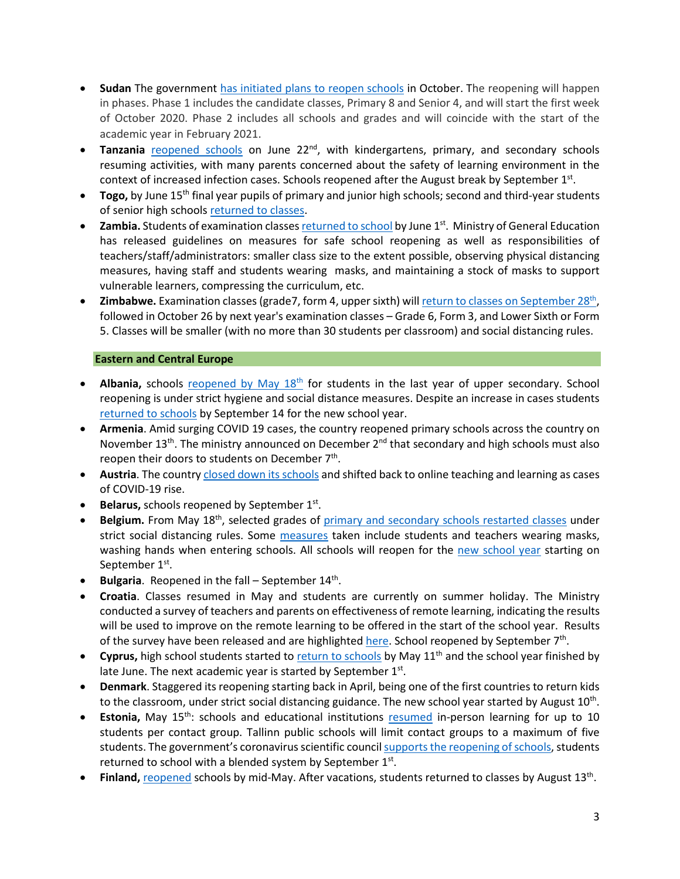- **Sudan** The government [has initiated plans to reopen schools](https://en.unesco.org/news/unicef-and-unesco-welcome-decision-reopen-schools-south-sudan) in October. The reopening will happen in phases. Phase 1 includes the candidate classes, Primary 8 and Senior 4, and will start the first week of October 2020. Phase 2 includes all schools and grades and will coincide with the start of the academic year in February 2021.
- Tanzania **[reopened schools](https://africa.cgtn.com/2020/06/29/tanzanian-schools-reopen-with-strict-health-guidelines/)** on June 22<sup>nd</sup>, with kindergartens, primary, and secondary schools resuming activities, with many parents concerned about the safety of learning environment in the context of increased infection cases. Schools reopened after the August break by September  $1<sup>st</sup>$ .
- **Togo,** by June 15<sup>th</sup> final year pupils of primary and junior high schools; second and third-year students of senior high schools [returned to classes.](https://www.togofirst.com/en/education/1306-5718-schools-reopen-on-june-15-2020)
- Zambia. Students of examination classe[s returned to school](http://www.xinhuanet.com/english/2020-06/01/c_139105832.htm) by June 1<sup>st</sup>. Ministry of General Education has released guidelines on measures for safe school reopening as well as responsibilities of teachers/staff/administrators: smaller class size to the extent possible, observing physical distancing measures, having staff and students wearing masks, and maintaining a stock of masks to support vulnerable learners, compressing the curriculum, etc.
- **Zimbabwe.** Examination classes (grade7, form 4, upper sixth) will return to classes on September 28<sup>th</sup>, followed in October 26 by next year's examination classes – Grade 6, Form 3, and Lower Sixth or Form 5. Classes will be smaller (with no more than 30 students per classroom) and social distancing rules.

## **Eastern and Central Europe**

- Albania, schools reopened by May 18<sup>th</sup> for students in the last year of upper secondary. School reopening is under strict hygiene and social distance measures. Despite an increase in cases students [returned to schools](https://balkaninsight.com/2020/08/20/albania-to-open-schools-in-september-despite-covid-19-risks/) by September 14 for the new school year.
- **Armenia**. Amid surging COVID 19 cases, the country reopened primary schools across the country on November 13<sup>th</sup>. The ministry announced on December  $2<sup>nd</sup>$  that secondary and high schools must also reopen their doors to students on December  $7<sup>th</sup>$ .
- Austria. The country *closed down its schools* and shifted back to online teaching and learning as cases of COVID-19 rise.
- **Belarus,** schools reopened by September 1st.
- **Belgium.** From May 18<sup>th</sup>, selected grades of [primary and secondary schools restarte](https://www.politico.eu/article/belgium-lifts-its-lockdown-what-is-allowed-and-when/)d classes under strict social distancing rules. Some [measures](https://www.voanews.com/student-union/students-belgium-return-school-after-2-month-covid-break) taken include students and teachers wearing masks, washing hands when entering schools. All schools will reopen for the [new school year](https://www.politico.eu/article/coronavirus-all-belgian-schools-to-reopen-on-september-1/) starting on September 1<sup>st</sup>.
- **Bulgaria**. Reopened in the fall September 14<sup>th</sup>.
- **Croatia**. Classes resumed in May and students are currently on summer holiday. The Ministry conducted a survey of teachers and parents on effectiveness of remote learning, indicating the results will be used to improve on the remote learning to be offered in the start of the school year. Results of the survey have been released and are highlighte[d here.](https://www.croatiaweek.com/school-heads-and-teachers-in-croatia-satisfied-with-online-classes/) School reopened by September 7<sup>th</sup>.
- Cyprus, high school students started to [return to schools](https://www.weforum.org/agenda/2020/05/schools-education-lockdowns-coronavirus-covid19/) by May 11<sup>th</sup> and the school year finished by late June. The next academic year is started by September 1st.
- **Denmark**. Staggered its reopening starting back in April, being one of the first countries to return kids to the classroom, under strict social distancing guidance. The new school year started by August 10<sup>th</sup>.
- **Estonia,** May 15<sup>th</sup>: schools and educational institutions [resumed](https://ee.usembassy.gov/2020-05-08-5/%20https:/www.hm.ee/en/news/estonia-offers-its-digital-education-solutions-free-support-other-countries) in-person learning for up to 10 students per contact group. Tallinn public schools will limit contact groups to a maximum of five students. The government's coronavirus scientific council [supports the reopening of schools,](https://news.err.ee/1126830/coronavirus-scientific-council-supports-reopening-schools-on-september-1) students returned to school with a blended system by September  $1<sup>st</sup>$ .
- **Finland,** [reopened](https://www.reuters.com/article/us-health-coronavirus-finland/coronavirus-infections-slow-down-in-finland-despite-schools-opening-idUSKBN23B19K) schools by mid-May. After vacations, students returned to classes by August 13th.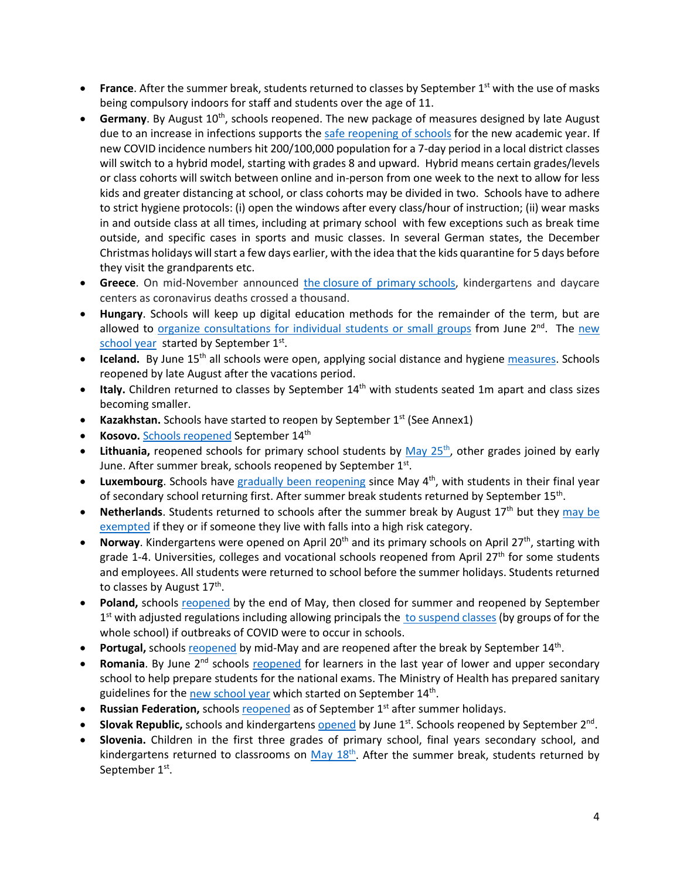- **France**. After the summer break, students returned to classes by September 1<sup>st</sup> with the use of masks being compulsory indoors for staff and students over the age of 11.
- **Germany**. By August 10<sup>th</sup>, schools reopened. The new package of measures designed by late August due to an increase in infections supports the [safe reopening of schools](https://www.wsj.com/articles/germany-hits-pause-on-reopening-amid-rising-covid-19-infections-11598545067) for the new academic year. If new COVID incidence numbers hit 200/100,000 population for a 7-day period in a local district classes will switch to a hybrid model, starting with grades 8 and upward. Hybrid means certain grades/levels or class cohorts will switch between online and in-person from one week to the next to allow for less kids and greater distancing at school, or class cohorts may be divided in two. Schools have to adhere to strict hygiene protocols: (i) open the windows after every class/hour of instruction; (ii) wear masks in and outside class at all times, including at primary school with few exceptions such as break time outside, and specific cases in sports and music classes. In several German states, the December Christmas holidays will start a few days earlier, with the idea that the kids quarantine for 5 days before they visit the grandparents etc.
- **Greece**. On mid-November announced the closure [of primary](https://medicalxpress.com/news/2020-11-greece-schools-deaths.html#:%7E:text=Greece%20on%20Saturday%20announced%20the,raising%20the%20toll%20to%201%2C035.) schools, kindergartens and daycare centers as coronavirus deaths crossed a thousand.
- **Hungary**. Schools will keep up digital education methods for the remainder of the term, but are allowed to [organize consultations for individual students or small groups](https://hungarytoday.hu/hungary-schools-open-coronavirus/) from June 2<sup>nd</sup>. The new [school year](https://dailynewshungary.com/hungarian-schools-to-start-in-classrooms-on-sept-1/) started by September 1<sup>st</sup>.
- **Iceland.** By June 15<sup>th</sup> all schools were open, applying social distance and hygiene [measures.](https://www.icelandreview.com/ask-ir/whats-the-status-of-covid-19-in-iceland/) Schools reopened by late August after the vacations period.
- Italy. Children returned to classes by September 14<sup>th</sup> with students seated 1m apart and class sizes becoming smaller.
- **Kazakhstan.** Schools have started to reopen by September 1<sup>st</sup> (See Annex1)
- **Kosovo.** [Schools reopened](https://gandhara.rferl.org/a/back-to-school-amid-the-covid-19-pandemic/30840488.html#:%7E:text=Schools%20are%20reopening%20for%20the,the%20spread%20of%20the%20coronavirus.&text=Kosovar%20schools%20reopened%20on%20September,the%20COVID%2D19%20crisis%20began.) September 14<sup>th</sup>
- Lithuania, reopened schools for primary school students by May 25<sup>th</sup>, other grades joined by early June. After summer break, schools reopened by September 1st.
- **Luxembourg**. Schools have [gradually been reopening](https://lu.usembassy.gov/covid-19-information/) since May 4<sup>th</sup>, with students in their final year of secondary school returning first. After summer break students returned by September 15<sup>th</sup>.
- **Netherlands**. Students returned to schools after the summer break by August 17<sup>th</sup> but they may be [exempted](https://www.government.nl/topics/coronavirus-covid-19/questions-about-coronavirus-and-the-education-sector) if they or if someone they live with falls into a high risk category.
- Norway. Kindergartens were opened on April 20<sup>th</sup> and its primary schools on April 27<sup>th</sup>, starting with grade 1-4. Universities, colleges and vocational schools reopened from April 27<sup>th</sup> for some students and employees. All students were returned to school before the summer holidays. Students returned to classes by August 17<sup>th</sup>.
- Poland, schools [reopened](https://www.bbc.com/news/world-europe-52796699) by the end of May, then closed for summer and reopened by September  $1<sup>st</sup>$  with adjusted regulations including allowing principals the [to suspend classes](https://www.gov.pl/web/edukacja/bezpieczny-powrot-do-szkol-dzialania-men-w-organizacji-roku-szkolnego-20202021-w-warunkach-epidemii) (by groups of for the whole school) if outbreaks of COVID were to occur in schools.
- **Portugal, school[s reopened](https://www.theportugalnews.com/news/restaurants-cafes-daycare-centres-and-schools-reopen-on-monday/54168) by mid-May and are reopened after the break by September 14th.**
- **Romania**. By June 2<sup>nd</sup> schools [reopened](https://www.cedefop.europa.eu/en/news-and-press/news/romania-responses-covid-19-outbreak) for learners in the last year of lower and upper secondary school to help prepare students for the national exams. The Ministry of Health has prepared sanitary guidelines for th[e new school year](https://www.romania-insider.com/health-ministry-safety-rules-schools) which started on September  $14<sup>th</sup>$ .
- **Russian Federation, schools [reopened](https://www.themoscowtimes.com/2020/09/01/russian-schools-reopen-as-coronavirus-cases-climb-a71301) as of September 1<sup>st</sup> after summer holidays.**
- **Slovak Republic,** schools and kindergarten[s opened](https://domov.sme.sk/c/22406854/koronavirus-slovensko-uvolnenie-dalsich-opatreni.html) by June 1st. Schools reopened by September 2nd.
- **Slovenia.** Children in the first three grades of primary school, final years secondary school, and kindergartens returned to classrooms on  $May 18<sup>th</sup>$ . After the summer break, students returned by September 1st.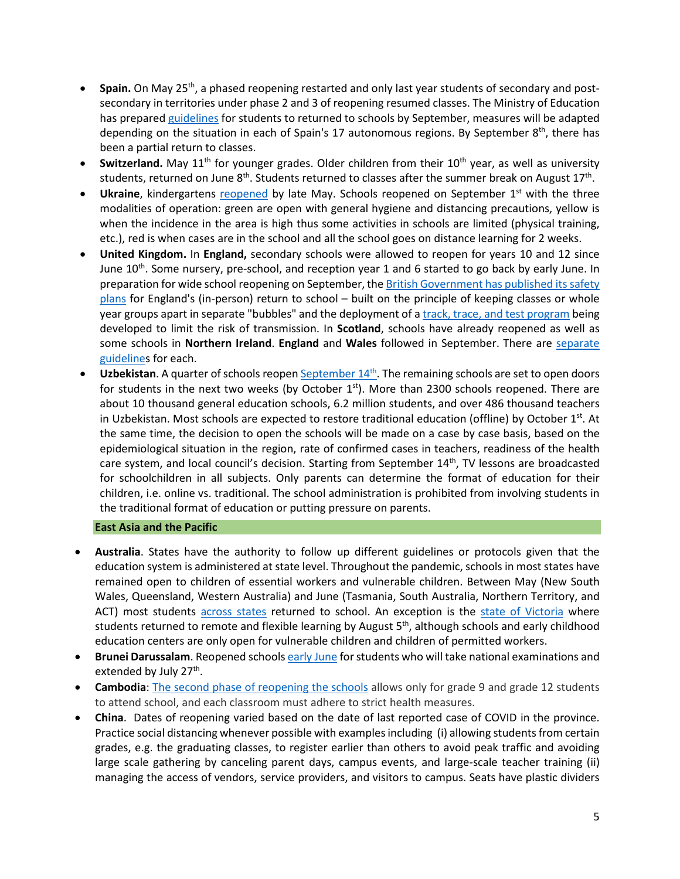- **Spain.** On May 25th, a phased reopening restarted and only last year students of secondary and postsecondary in territories under phase 2 and 3 of reopening resumed classes. The Ministry of Education has prepare[d guidelines](https://www.lamoncloa.gob.es/serviciosdeprensa/notasprensa/educacion/Documents/2020/230620-Guia-educacion.pdf) for students to returned to schools by September, measures will be adapted depending on the situation in each of Spain's 17 autonomous regions. By September  $8<sup>th</sup>$ , there has been a partial return to classes.
- **Switzerland.** May 11<sup>th</sup> for younger grades. Older children from their 10<sup>th</sup> year, as well as university students, returned on June 8<sup>th</sup>. Students returned to classes after the summer break on August 17<sup>th</sup>.
- Ukraine, kindergartens [reopened](https://www.thenationalherald.com/coronavirus/arthro/schools_subways_open_in_ukraine_as_lockdown_lifted-347116/) by late May. Schools reopened on September 1<sup>st</sup> with the three modalities of operation: green are open with general hygiene and distancing precautions, yellow is when the incidence in the area is high thus some activities in schools are limited (physical training, etc.), red is when cases are in the school and all the school goes on distance learning for 2 weeks.
- **United Kingdom.** In **England,** secondary schools were allowed to reopen for years 10 and 12 since June 10<sup>th</sup>. Some nursery, pre-school, and reception year 1 and 6 started to go back by early June. In preparation for wide school reopening on September, th[e British Government has published its safety](https://www.bbc.com/news/education-53253722)  [plans](https://www.bbc.com/news/education-53253722) for England's (in-person) return to school – built on the principle of keeping classes or whole year groups apart in separate "bubbles" and the deployment of [a track, trace, and test program](https://www.bbc.com/news/uk-northern-ireland-53578636) being developed to limit the risk of transmission. In **Scotland**, schools have already reopened as well as some schools in **Northern Ireland**. **England** and **Wales** followed in September. There are [separate](https://www.bbc.com/news/education-51643556)  [guidelines](https://www.bbc.com/news/education-51643556) for each.
- **Uzbekistan**. A quarter of schools reope[n September 14th](https://www.gazeta.uz/ru/2020/08/25/school-education/?utm_source=push&utm_medium=telegram). The remaining schools are set to open doors for students in the next two weeks (by October  $1<sup>st</sup>$ ). More than 2300 schools reopened. There are about 10 thousand general education schools, 6.2 million students, and over 486 thousand teachers in Uzbekistan. Most schools are expected to restore traditional education (offline) by October  $1^{st}$ . At the same time, the decision to open the schools will be made on a case by case basis, based on the epidemiological situation in the region, rate of confirmed cases in teachers, readiness of the health care system, and local council's decision. Starting from September  $14<sup>th</sup>$ , TV lessons are broadcasted for schoolchildren in all subjects. Only parents can determine the format of education for their children, i.e. online vs. traditional. The school administration is prohibited from involving students in the traditional format of education or putting pressure on parents.

## **East Asia and the Pacific**

- **Australia**. States have the authority to follow up different guidelines or protocols given that the education system is administered at state level. Throughout the pandemic, schools in most states have remained open to children of essential workers and vulnerable children. Between May (New South Wales, Queensland, Western Australia) and June (Tasmania, South Australia, Northern Territory, and ACT) most students [across states](https://www.theguardian.com/australia-news/2020/aug/26/australia-covid-19-lockdown-rules-coronavirus-restrictions-by-state-how-far-can-travel-interstate-border-social-distancing-nsw-victoria-vic-queensland-qld-wa-sa-act-how-many-people-over-house) returned to school. An exception is the [state of Victoria](https://www.education.vic.gov.au/about/department/Pages/coronavirus.aspx) where students returned to remote and flexible learning by August  $5<sup>th</sup>$ , although schools and early childhood education centers are only open for vulnerable children and children of permitted workers.
- **Brunei Darussalam**. Reopened school[s early June](https://thescoop.co/2020/05/21/brunei-partially-reopens-schools-on-june-2-as-coronavirus-concerns-ease/) for students who will take national examinations and extended by July 27<sup>th</sup>.
- **Cambodia**: [The second phase of reopening the schools](https://www.khmertimeskh.com/50761521/schools-across-cambodia-reopen/) allows only for grade 9 and grade 12 students to attend school, and each classroom must adhere to strict health measures.
- **China**. Dates of reopening varied based on the date of last reported case of COVID in the province. Practice social distancing whenever possible with examples including (i) allowing students from certain grades, e.g. the graduating classes, to register earlier than others to avoid peak traffic and avoiding large scale gathering by canceling parent days, campus events, and large-scale teacher training (ii) managing the access of vendors, service providers, and visitors to campus. Seats have plastic dividers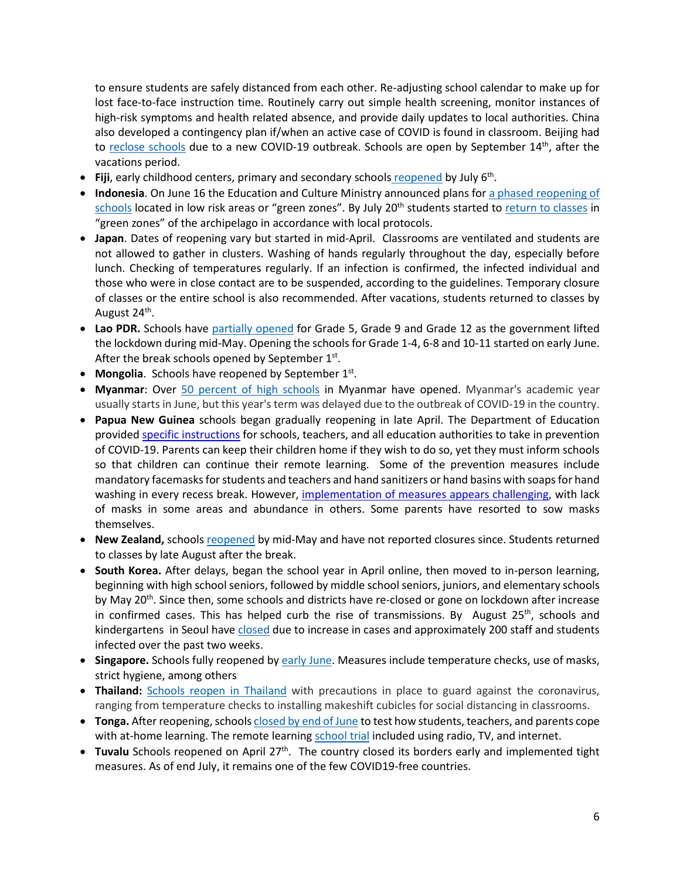to ensure students are safely distanced from each other. Re-adjusting school calendar to make up for lost face-to-face instruction time. Routinely carry out simple health screening, monitor instances of high-risk symptoms and health related absence, and provide daily updates to local authorities. China also developed a contingency plan if/when an active case of COVID is found in classroom. Beijing had to [reclose schools](https://www.nytimes.com/2020/06/17/world/asia/coronavirus-beijing-china.html) due to a new COVID-19 outbreak. Schools are open by September  $14<sup>th</sup>$ , after the vacations period.

- **Fiji**, early childhood centers, primary and secondary schools [reopened](https://www.fbcnews.com.fj/news/covid-19/decision-to-reopen-schools-not-rushed/) by July 6th.
- **Indonesia**. On June 16 the Education and Culture Ministry announced plans for [a phased reopening of](https://www.thejakartapost.com/news/2020/06/16/indonesia-to-allow-phased-reopening-of-schools-in-covid-19-green-zones-minister.html)  [schools](https://www.thejakartapost.com/news/2020/06/16/indonesia-to-allow-phased-reopening-of-schools-in-covid-19-green-zones-minister.html) located in low risk areas or "green zones". By July 20<sup>th</sup> students started to [return to classes](https://www.thejakartapost.com/news/2020/07/16/schools-could-become-new-clusters-of-covid-19-transmission-indonesian-red-cross.html) in "green zones" of the archipelago in accordance with local protocols.
- **Japan**. Dates of reopening vary but started in mid-April. Classrooms are ventilated and students are not allowed to gather in clusters. Washing of hands regularly throughout the day, especially before lunch. Checking of temperatures regularly. If an infection is confirmed, the infected individual and those who were in close contact are to be suspended, according to the guidelines. Temporary closure of classes or the entire school is also recommended. After vacations, students returned to classes by August 24<sup>th</sup>.
- **Lao PDR.** Schools have [partially opened](https://www.unicef.org/laos/stories/safely-back-school) for Grade 5, Grade 9 and Grade 12 as the government lifted the lockdown during mid-May. Opening the schools for Grade 1-4, 6-8 and 10-11 started on early June. After the break schools opened by September  $1<sup>st</sup>$ .
- **Mongolia**. Schools have reopened by September 1<sup>st</sup>.
- **Myanmar**: Over [50 percent of high schools](https://www.tribuneindia.com/news/schools/over-50-high-schools-reopen-in-myanmar-126011) in Myanmar have opened. Myanmar's academic year usually starts in June, but this year's term was delayed due to the outbreak of COVID-19 in the country.
- **Papua New Guinea** schools began gradually reopening in late April. The Department of Education provided [specific instructions](https://covid19.info.gov.pg/files/28042020/Secretary%20Circular%20Instruction%205%20of%202020.pdf.pdf) for schools, teachers, and all education authorities to take in prevention of COVID-19. Parents can keep their children home if they wish to do so, yet they must inform schools so that children can continue their remote learning. Some of the prevention measures include mandatory facemasks for students and teachers and hand sanitizers or hand basins with soaps for hand washing in every recess break. However, [implementation of measures appears challenging,](https://www.rnz.co.nz/international/pacific-news/416597/png-schools-adjust-to-new-normal) with lack of masks in some areas and abundance in others. Some parents have resorted to sow masks themselves.
- **New Zealand,** schools [reopened](https://www.theguardian.com/world/2020/may/11/ardern-announces-new-zealand-will-reopen-schools-offices-and-restaurants-this-week) by mid-May and have not reported closures since. Students returned to classes by late August after the break.
- **South Korea.** After delays, began the school year in April online, then moved to in-person learning, beginning with high school seniors, followed by middle school seniors, juniors, and elementary schools by May 20<sup>th</sup>. Since then, some schools and districts have re-closed or gone on lockdown after increase in confirmed cases. This has helped curb the rise of transmissions. By August  $25<sup>th</sup>$ , schools and kindergartens in Seoul have [closed](https://www.bbc.com/news/world-asia-53901707) due to increase in cases and approximately 200 staff and students infected over the past two weeks.
- **Singapore.** Schools fully reopened b[y early June.](https://www.usnews.com/news/world/articles/2020-06-02/schools-reopen-as-singapore-eases-lockdown-restrictions) Measures include temperature checks, use of masks, strict hygiene, among others
- **Thailand:** [Schools reopen in Thailand](https://www.reuters.com/article/us-health-coronavirus-thailand-school/schools-reopen-across-thailand-with-temperature-checks-masks-idUSKBN24253A) with precautions in place to guard against the coronavirus, ranging from temperature checks to installing makeshift cubicles for social distancing in classrooms.
- **Tonga.** After reopening, school[s closed by end of June](https://www.theguardian.com/world/2020/jun/17/coronavirus-in-the-pacific-weekly-briefing) to test how students, teachers, and parents cope with at-home learning. The remote learnin[g school trial](https://matangitonga.to/2020/06/30/students-enjoy-home-school-trial) included using radio, TV, and internet.
- **Tuvalu** Schools reopened on April 27<sup>th</sup>. The country closed its borders early and implemented tight measures. As of end July, it remains one of the few COVID19-free countries.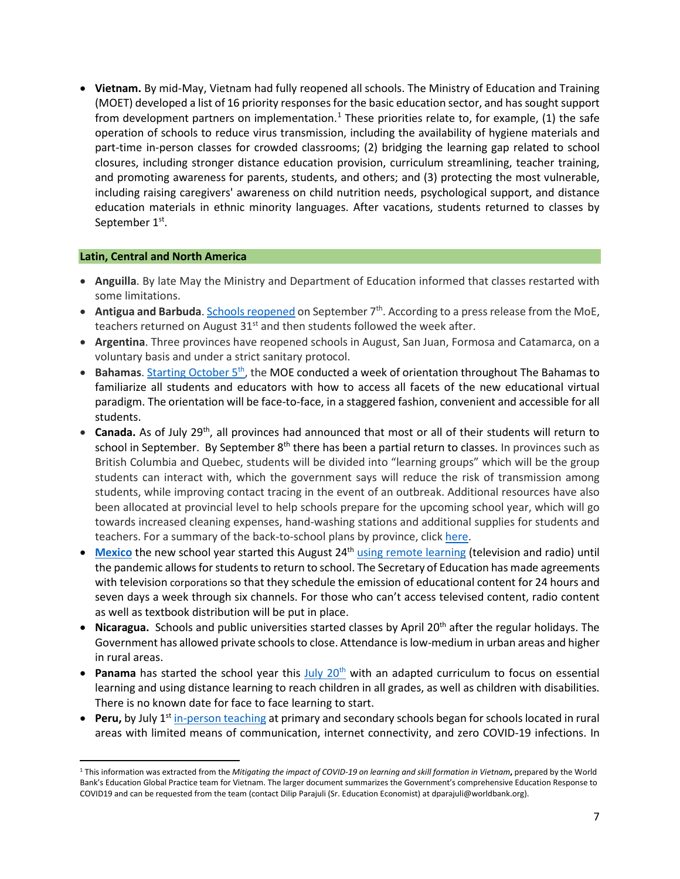• **Vietnam.** By mid-May, Vietnam had fully reopened all schools. The Ministry of Education and Training (MOET) developed a list of 16 priority responses for the basic education sector, and has sought support from development partners on implementation.<sup>[1](#page-6-0)</sup> These priorities relate to, for example, (1) the safe operation of schools to reduce virus transmission, including the availability of hygiene materials and part-time in-person classes for crowded classrooms; (2) bridging the learning gap related to school closures, including stronger distance education provision, curriculum streamlining, teacher training, and promoting awareness for parents, students, and others; and (3) protecting the most vulnerable, including raising caregivers' awareness on child nutrition needs, psychological support, and distance education materials in ethnic minority languages. After vacations, students returned to classes by September 1st.

#### **Latin, Central and North America**

- **Anguilla**. By late May the Ministry and Department of Education informed that classes restarted with some limitations.
- Antigua and Barbuda[. Schools reopened](https://268today.com/local-news/schools-in-antigua-and-barbuda-will-reopen-on-september-7/#:%7E:text=Education%20Michael%20Browne.-,Schools%20in%20Antigua%20and%20Barbuda%20will%20reopen%20on%20September%207,7.) on September 7<sup>th</sup>. According to a press release from the MoE, teachers returned on August  $31<sup>st</sup>$  and then students followed the week after.
- **Argentina**. Three provinces have reopened schools in August, San Juan, Formosa and Catamarca, on a voluntary basis and under a strict sanitary protocol.
- Bahamas. Starting October 5<sup>th</sup>, the MOE conducted a week of orientation throughout The Bahamas to familiarize all students and educators with how to access all facets of the new educational virtual paradigm. The orientation will be face-to-face, in a staggered fashion, convenient and accessible for all students.
- **Canada.** As of July 29th, all provinces had announced that most or all of their students will return to school in September. By September 8<sup>th</sup> there has been a partial return to classes. In provinces such as British Columbia and Quebec, students will be divided into "learning groups" which will be the group students can interact with, which the government says will reduce the risk of transmission among students, while improving contact tracing in the event of an outbreak. Additional resources have also been allocated at provincial level to help schools prepare for the upcoming school year, which will go towards increased cleaning expenses, hand-washing stations and additional supplies for students and teachers. For a summary of the back-to-school plans by province, click [here.](https://www.ctvnews.ca/who-heads-back-to-class-in-september-a-look-at-school-reopenings-by-province-1.5042739)
- **[Mexico](https://listindiario.com/las-mundiales/2020/08/03/629094/mexico-comenzara-el-nuevo-curso-escolar-a-distancia-el-24-de-agosto)** the new school year started this August 24<sup>th</sup> [using remote learning](https://www.infobae.com/america/mexico/2020/08/13/sep-este-es-el-calendario-escolar-oficial-para-educacion-basica/#:%7E:text=El%20ciclo%20escolar%202020%2D2021,sin%20clases%20por%20labores%20administrativas.) (television and radio) until the pandemic allows for students to return to school. The Secretary of Education has made agreements with television corporations so that they schedule the emission of educational content for 24 hours and seven days a week through six channels. For those who can't access televised content, radio content as well as textbook distribution will be put in place.
- **Nicaragua.** Schools and public universities started classes by April 20<sup>th</sup> after the regular holidays. The Government has allowed private schools to close. Attendance is low-medium in urban areas and higher in rural areas.
- **Panama** has started the school year this July 20<sup>th</sup> with an adapted curriculum to focus on essential learning and using distance learning to reach children in all grades, as well as children with disabilities. There is no known date for face to face learning to start.
- **Peru,** by July 1<sup>st</sup> [in-person teaching](https://pe.usembassy.gov/covid-19-information/) at primary and secondary schools began for schools located in rural areas with limited means of communication, internet connectivity, and zero COVID-19 infections. In

<span id="page-6-0"></span><sup>1</sup> This information was extracted from the *Mitigating the impact of COVID-19 on learning and skill formation in Vietnam***,** prepared by the World Bank's Education Global Practice team for Vietnam. The larger document summarizes the Government's comprehensive Education Response to COVID19 and can be requested from the team (contact Dilip Parajuli (Sr. Education Economist) at dparajuli@worldbank.org).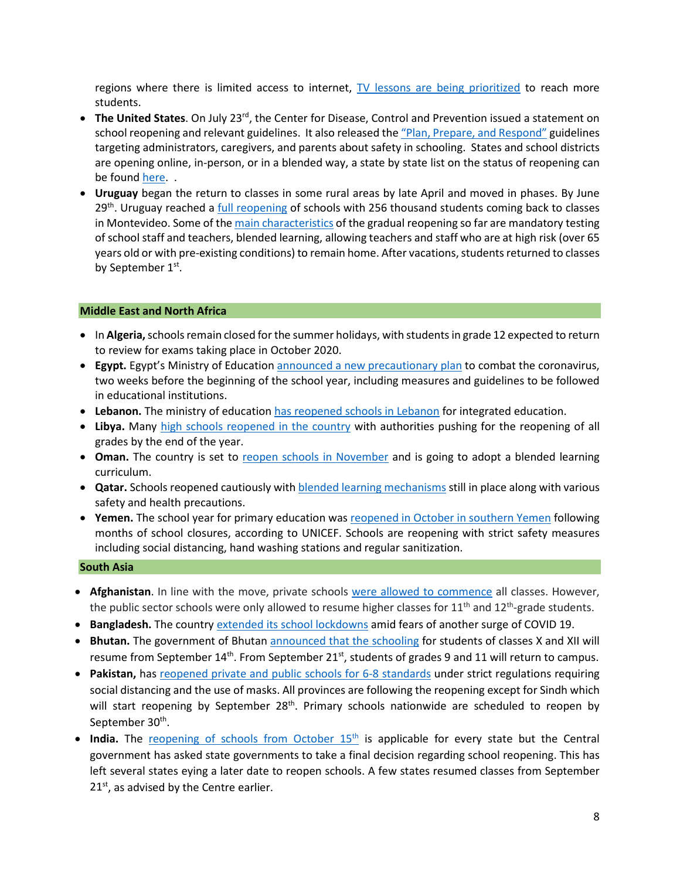regions where there is limited access to internet, [TV lessons are being prioritized](https://www.nytimes.com/es/2020/08/17/espanol/educacion-television.html) to reach more students.

- **The United States**. On July 23<sup>rd</sup>, the Center for Disease, Control and Prevention issued a statement on school reopening and relevant guidelines. It also released th[e "Plan, Prepare, and Respond"](https://www.cdc.gov/coronavirus/2019-ncov/community/schools-childcare/index.html) guidelines targeting administrators, caregivers, and parents about safety in schooling. States and school districts are opening online, in-person, or in a blended way, a state by state list on the status of reopening can be found [here.](https://www.today.com/parents/when-will-school-open-here-s-state-state-list-t179718)..
- **Uruguay** [began the return to classes](https://cnnespanol.cnn.com/video/escuelas-uruguay-normalidad-apertura-clases-adaptacion-perspectivas-buenos-aires-pkg-dario-klein/) in some rural areas by late April and moved in phases. By June  $29<sup>th</sup>$ . Uruguay reached a [full reopening](https://www.infobae.com/america/america-latina/2020/06/29/uruguay-completa-la-reapertura-de-las-escuelas-256-mil-alumnos-vuelven-a-clase-en-montevideo/) of schools with 256 thousand students coming back to classes in Montevideo. Some of th[e main characteristics](https://www.bbc.com/mundo/noticias-america-latina-53579960) of the gradual reopening so far are mandatory testing of school staff and teachers, blended learning, allowing teachers and staff who are at high risk (over 65 years old or with pre-existing conditions) to remain home. After vacations, students returned to classes by September 1<sup>st</sup>.

## **Middle East and North Africa**

- In **Algeria,** schools remain closed for the summer holidays, with students in grade 12 expected to return to review for exams taking place in October 2020.
- **Egypt.** Egypt's Ministry of Educatio[n announced a new precautionary plan](https://english.aawsat.com/home/article/2546856/egypt-announces-covid-19-plan-reopen-schools) to combat the coronavirus, two weeks before the beginning of the school year, including measures and guidelines to be followed in educational institutions.
- **Lebanon.** The ministry of education [has reopened schools in Lebanon](https://www.arabnews.com/node/1770311/middle-east) for integrated education.
- **Libya.** Many [high schools reopened in the country](http://www.xinhuanet.com/english/africa/2020-09/01/c_139334246.htm#:%7E:text=Home-,Feature%3A%20Libya%20starts%20new%20school,with%20anti%2DCOVID%2D19%20measures&text=TRIPOLI%2C%20Sept.,the%20end%20of%20this%20year.) with authorities pushing for the reopening of all grades by the end of the year.
- Oman. The country is set to [reopen schools in November](https://gulfnews.com/world/gulf/oman/covid-19-oman-to-reopen-schools-on-november-1-1.74741427) and is going to adopt a blended learning curriculum.
- **Qatar.** Schools reopened cautiously wit[h blended learning mechanisms](https://www.qatar-tribune.com/news-details/id/197035/schools-reopen-with-caution) still in place along with various safety and health precautions.
- **Yemen.** The school year for primary education wa[s reopened in October in southern Yemen](https://www.unicef.org/yemen/stories/schools-reopen-yemen-after-months-closure-due-covid-19#:%7E:text=The%20school%20year%20for%20primary,to%20the%20COVID%2D19%20pandemic.&text=Schools%20are%20reopening%20with%20strict,disinfection%2C%20regular%20sanitizing%20and%20handwashing.) following months of school closures, according to UNICEF. Schools are reopening with strict safety measures including social distancing, hand washing stations and regular sanitization.

#### **South Asia**

- **Afghanistan**. In line with the move, private schools [were allowed to commence](https://www.aa.com.tr/en/asia-pacific/afghanistan-cautiously-begins-reopening-schools/1950178) all classes. However, the public sector schools were only allowed to resume higher classes for 11<sup>th</sup> and 12<sup>th</sup>-grade students.
- **Bangladesh.** The country [extended its school lockdowns](https://www.aljazeera.com/news/2020/11/13/bangladesh-extends-school-shutdown-over-second-covid-19-wave#:%7E:text=Bangladesh%20extends%20school%20shutdown%20over%20second%20COVID%2D19%20wave,-13%20Nov%202020&text=Bangladesh%20has%20extended%20its%20closure,education%20ministry%20said%20on%20Thursday.) amid fears of another surge of COVID 19.
- **Bhutan.** The government of Bhutan [announced that the schooling](http://www.xinhuanet.com/english/2020-09/11/c_139361780.htm) for students of classes X and XII will resume from September 14<sup>th</sup>. From September 21<sup>st</sup>, students of grades 9 and 11 will return to campus.
- **Pakistan,** has [reopened private and public schools for 6-8 standards](https://timesofindia.indiatimes.com/home/education/news/pakistan-reopens-schools-for-6-8-standards/articleshow/78272242.cms) under strict regulations requiring social distancing and the use of masks. All provinces are following the reopening except for Sindh which will start reopening by September  $28<sup>th</sup>$ . Primary schools nationwide are scheduled to reopen by September 30<sup>th</sup>.
- India. The reopening of schools from October 15<sup>th</sup> is applicable for every state but the Central government has asked state governments to take a final decision regarding school reopening. This has left several states eying a later date to reopen schools. A few states resumed classes from September  $21<sup>st</sup>$ , as advised by the Centre earlier.